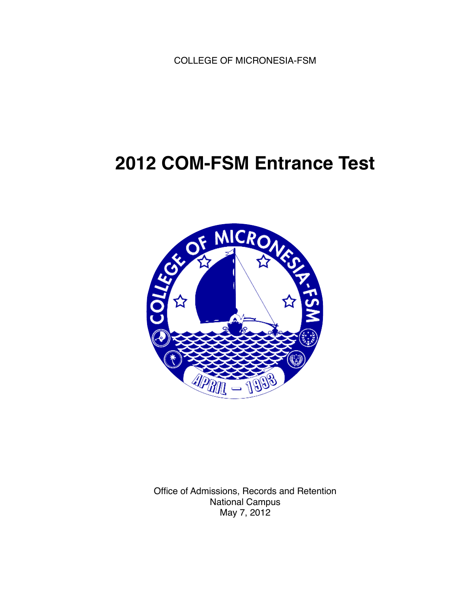COLLEGE OF MICRONESIA-FSM

# **2012 COM-FSM Entrance Test**



Office of Admissions, Records and Retention National Campus May 7, 2012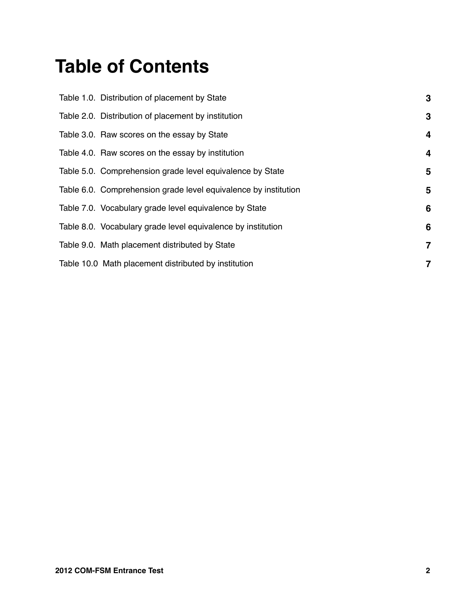# **Table of Contents**

| Table 1.0. Distribution of placement by State                   | 3                       |
|-----------------------------------------------------------------|-------------------------|
| Table 2.0. Distribution of placement by institution             | 3                       |
| Table 3.0. Raw scores on the essay by State                     | $\overline{\mathbf{r}}$ |
| Table 4.0. Raw scores on the essay by institution               | $\overline{\mathbf{r}}$ |
| Table 5.0. Comprehension grade level equivalence by State       | 5                       |
| Table 6.0. Comprehension grade level equivalence by institution | 5                       |
| Table 7.0. Vocabulary grade level equivalence by State          | 6                       |
| Table 8.0. Vocabulary grade level equivalence by institution    | 6                       |
| Table 9.0. Math placement distributed by State                  | $\overline{7}$          |
| Table 10.0 Math placement distributed by institution            | $\overline{7}$          |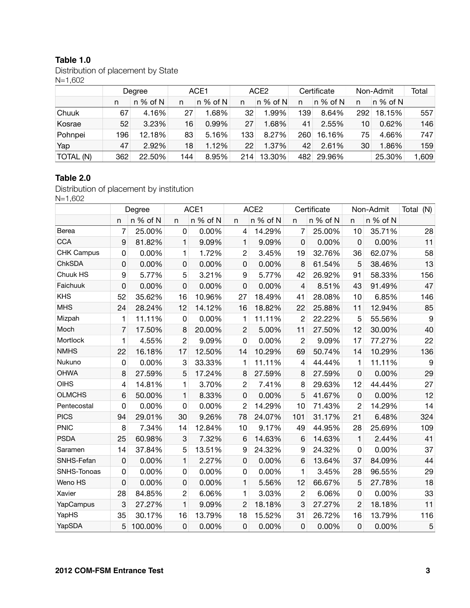#### **Table 1.0**

Distribution of placement by State N=1,602

|           |     | Degree     | ACE1 |            |     | ACE2       |     | Certificate | Non-Admit | Total      |       |
|-----------|-----|------------|------|------------|-----|------------|-----|-------------|-----------|------------|-------|
|           | n   | $n\%$ of N | n    | $n\%$ of N | n   | $n\%$ of N | n   | $n\%$ of N  | n         | $n\%$ of N |       |
| Chuuk     | 67  | 4.16%      | 27   | 1.68%      | 32  | 1.99%      | 39  | 8.64%       | 292       | 18.15%     | 557   |
| Kosrae    | 52  | 3.23%      | 16   | 0.99%      | 27  | 1.68%      | 41  | 2.55%       | 10        | 0.62%      | 146   |
| Pohnpei   | 196 | 12.18%     | 83   | 5.16%      | 133 | 8.27%      | 260 | 16.16%      | 75        | 4.66%      | 747   |
| Yap       | 47  | 2.92%      | 18   | 1.12%      | 22  | 1.37%      | 42  | 2.61%       | 30        | 1.86%      | 159   |
| TOTAL (N) | 362 | 22.50%     | 144  | 8.95%      | 214 | 13.30%     | 482 | 29.96%      |           | 25.30%     | 1,609 |

#### **Table 2.0**

Distribution of placement by institution N=1,602

|                   |             | Degree   | ACE1           |          |                | ACE <sub>2</sub> |                | Certificate |                | Non-Admit | Total<br>(N) |
|-------------------|-------------|----------|----------------|----------|----------------|------------------|----------------|-------------|----------------|-----------|--------------|
|                   | n           | n % of N | n              | n % of N | $\mathsf{n}$   | n % of N         | n              | n % of N    | n              | n % of N  |              |
| Berea             | 7           | 25.00%   | 0              | 0.00%    | 4              | 14.29%           | 7              | 25.00%      | 10             | 35.71%    | 28           |
| <b>CCA</b>        | 9           | 81.82%   | 1              | 9.09%    | $\mathbf{1}$   | 9.09%            | 0              | 0.00%       | $\Omega$       | 0.00%     | 11           |
| <b>CHK Campus</b> | 0           | 0.00%    | 1              | 1.72%    | $\overline{2}$ | 3.45%            | 19             | 32.76%      | 36             | 62.07%    | 58           |
| ChkSDA            | 0           | 0.00%    | 0              | 0.00%    | $\mathbf 0$    | 0.00%            | 8              | 61.54%      | 5              | 38.46%    | 13           |
| Chuuk HS          | 9           | 5.77%    | 5              | 3.21%    | 9              | 5.77%            | 42             | 26.92%      | 91             | 58.33%    | 156          |
| Faichuuk          | 0           | 0.00%    | $\mathbf 0$    | 0.00%    | $\mathbf 0$    | 0.00%            | $\overline{4}$ | 8.51%       | 43             | 91.49%    | 47           |
| <b>KHS</b>        | 52          | 35.62%   | 16             | 10.96%   | 27             | 18.49%           | 41             | 28.08%      | 10             | 6.85%     | 146          |
| <b>MHS</b>        | 24          | 28.24%   | 12             | 14.12%   | 16             | 18.82%           | 22             | 25.88%      | 11             | 12.94%    | 85           |
| Mizpah            | 1           | 11.11%   | 0              | 0.00%    | 1              | 11.11%           | 2              | 22.22%      | 5              | 55.56%    | 9            |
| Moch              | 7           | 17.50%   | 8              | 20.00%   | $\overline{2}$ | 5.00%            | 11             | 27.50%      | 12             | 30.00%    | 40           |
| Mortlock          | 1           | 4.55%    | $\overline{c}$ | 9.09%    | $\overline{0}$ | 0.00%            | $\overline{c}$ | 9.09%       | 17             | 77.27%    | 22           |
| <b>NMHS</b>       | 22          | 16.18%   | 17             | 12.50%   | 14             | 10.29%           | 69             | 50.74%      | 14             | 10.29%    | 136          |
| Nukuno            | 0           | 0.00%    | 3              | 33.33%   | 1              | 11.11%           | 4              | 44.44%      | 1              | 11.11%    | 9            |
| <b>OHWA</b>       | 8           | 27.59%   | 5              | 17.24%   | 8              | 27.59%           | 8              | 27.59%      | $\mathbf 0$    | 0.00%     | 29           |
| <b>OIHS</b>       | 4           | 14.81%   | 1              | 3.70%    | $\overline{c}$ | 7.41%            | 8              | 29.63%      | 12             | 44.44%    | 27           |
| <b>OLMCHS</b>     | 6           | 50.00%   | $\mathbf{1}$   | 8.33%    | $\mathbf 0$    | 0.00%            | 5              | 41.67%      | $\mathbf 0$    | 0.00%     | 12           |
| Pentecostal       | 0           | 0.00%    | 0              | 0.00%    | 2              | 14.29%           | 10             | 71.43%      | $\overline{2}$ | 14.29%    | 14           |
| <b>PICS</b>       | 94          | 29.01%   | 30             | 9.26%    | 78             | 24.07%           | 101            | 31.17%      | 21             | 6.48%     | 324          |
| <b>PNIC</b>       | 8           | 7.34%    | 14             | 12.84%   | 10             | 9.17%            | 49             | 44.95%      | 28             | 25.69%    | 109          |
| <b>PSDA</b>       | 25          | 60.98%   | 3              | 7.32%    | 6              | 14.63%           | 6              | 14.63%      | $\mathbf{1}$   | 2.44%     | 41           |
| Saramen           | 14          | 37.84%   | 5              | 13.51%   | 9              | 24.32%           | 9              | 24.32%      | 0              | 0.00%     | 37           |
| SNHS-Fefan        | $\mathbf 0$ | 0.00%    | $\mathbf{1}$   | 2.27%    | $\mathbf 0$    | 0.00%            | 6              | 13.64%      | 37             | 84.09%    | 44           |
| SNHS-Tonoas       | 0           | 0.00%    | 0              | 0.00%    | 0              | 0.00%            | 1              | 3.45%       | 28             | 96.55%    | 29           |
| Weno HS           | 0           | 0.00%    | 0              | 0.00%    | $\mathbf{1}$   | 5.56%            | 12             | 66.67%      | 5              | 27.78%    | 18           |
| Xavier            | 28          | 84.85%   | $\overline{c}$ | 6.06%    | 1              | 3.03%            | $\overline{c}$ | 6.06%       | 0              | 0.00%     | 33           |
| YapCampus         | 3           | 27.27%   | $\mathbf{1}$   | 9.09%    | $\overline{2}$ | 18.18%           | 3              | 27.27%      | $\overline{2}$ | 18.18%    | 11           |
| YapHS             | 35          | 30.17%   | 16             | 13.79%   | 18             | 15.52%           | 31             | 26.72%      | 16             | 13.79%    | 116          |
| YapSDA            | 5           | 100.00%  | $\mathbf 0$    | 0.00%    | $\overline{0}$ | 0.00%            | $\mathbf 0$    | 0.00%       | $\overline{0}$ | 0.00%     | 5            |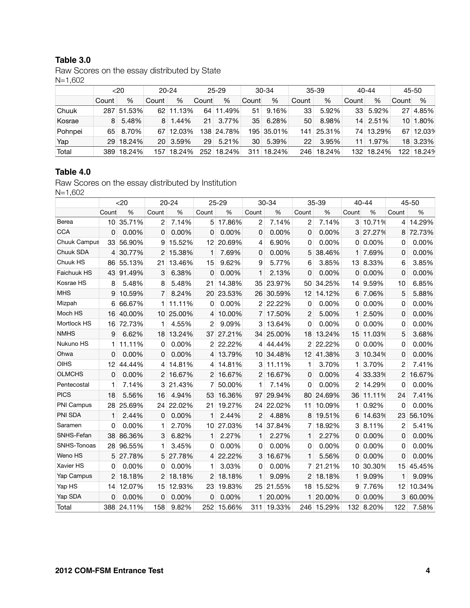#### **Table 3.0**

Raw Scores on the essay distributed by State N=1,602

|         | $<$ 20 |            | $20 - 24$       |        | $25 - 29$ |            | $30-34$ |            | $35 - 39$ |        | $40 - 44$ |           | $45 - 50$ |          |
|---------|--------|------------|-----------------|--------|-----------|------------|---------|------------|-----------|--------|-----------|-----------|-----------|----------|
|         | Count  | %          | Count           | $\%$   | Count     | %          | Count   | $\%$       | Count     | %      | Count     | %         | Count     | %        |
| Chuuk   |        | 287 51.53% | 62.             | 11.13% | 64        | 11.49%     | 51      | 9.16%      | 33        | 5.92%  | 33        | 5.92%     | 27        | 4.85%    |
| Kosrae  | 8      | 5.48%      | 8               | 1.44%  | 21        | 3.77%      | 35      | 6.28%      | 50        | 8.98%  | 14        | 2.51%     | 10        | 1.80%    |
| Pohnpei | 65.    | 8.70%      | 67              | 12.03% |           | 138 24.78% |         | 195 35.01% | 141       | 25.31% |           | 74 13.29% | 67        | 12.039   |
| Yap     | 29.    | 18.24%     | 20 <sup>1</sup> | 3.59%  | 29        | 5.21%      | 30.     | 5.39%      | 22        | 3.95%  | 11        | 1.97%     |           | 18 3.23% |
| Total   | 389    | 18.24%     | 157             | 18.24% | 252       | 18.24%     | 31      | 18.24%     | 246       | 18.24% | 132       | 18.24%    | 122.      | 18.24%   |

#### **Table 4.0**

Raw Scores on the essay distributed by Institution N=1,602

|                     | $20$  |        | 20-24          |          | $25 - 29$      |        | 30-34 |           | 35-39           |            | 40-44 |        | 45-50          |        |
|---------------------|-------|--------|----------------|----------|----------------|--------|-------|-----------|-----------------|------------|-------|--------|----------------|--------|
|                     | Count | %      | Count          | %        | Count          | %      | Count | %         | Count           | %          | Count | %      | Count          | %      |
| Berea               | 10    | 35.71% | 2              | 7.14%    | 5              | 17.86% | 2     | 7.14%     | 2               | 7.14%      | 3     | 10.71% | 4              | 14.29% |
| <b>CCA</b>          | 0     | 0.00%  | 0              | 0.00%    | 0              | 0.00%  | 0     | 0.00%     | 0               | 0.00%      | 3     | 27.27% | 8              | 72.73% |
| <b>Chuuk Campus</b> | 33    | 56.90% | 9              | 15.52%   | 12             | 20.69% | 4     | 6.90%     | 0               | 0.00%      | 0     | 0.00%  | 0              | 0.00%  |
| Chuuk SDA           | 4     | 30.77% | $\overline{2}$ | 15.38%   | 1              | 7.69%  | 0     | 0.00%     | 5               | 38.46%     | 1     | 7.69%  | 0              | 0.00%  |
| Chuuk HS            | 86    | 55.13% | 21             | 13.46%   | 15             | 9.62%  | 9     | 5.77%     | 6               | 3.85%      | 13    | 8.33%  | 6              | 3.85%  |
| Faichuuk HS         | 43    | 91.49% | 3              | 6.38%    | 0              | 0.00%  | 1     | 2.13%     | 0               | 0.00%      | 0     | 0.00%  | 0              | 0.00%  |
| Kosrae HS           | 8     | 5.48%  | 8              | 5.48%    | 21             | 14.38% | 35    | 23.97%    | 50              | 34.25%     | 14    | 9.59%  | 10             | 6.85%  |
| <b>MHS</b>          | 9     | 10.59% | 7              | 8.24%    | 20             | 23.53% | 26    | 30.59%    |                 | 12 14.12%  | 6     | 7.06%  | 5              | 5.88%  |
| Mizpah              | 6     | 66.67% | $\mathbf{1}$   | 11.11%   | 0              | 0.00%  |       | 2 22.22%  | 0               | 0.00%      | 0     | 0.00%  | 0              | 0.00%  |
| Moch HS             | 16    | 40.00% | 10             | 25.00%   | 4              | 10.00% |       | 7 17.50%  | 2               | 5.00%      | 1     | 2.50%  | 0              | 0.00%  |
| Mortlock HS         | 16    | 72.73% | 1              | 4.55%    | 2              | 9.09%  | 3     | 13.64%    | 0               | 0.00%      | 0     | 0.00%  | 0              | 0.00%  |
| <b>NMHS</b>         | 9     | 6.62%  | 18             | 13.24%   | 37             | 27.21% | 34    | 25.00%    | 18              | 13.24%     | 15    | 11.03% | 5              | 3.68%  |
| Nukuno HS           | 1     | 11.11% | 0              | 0.00%    | 2              | 22.22% |       | 4 44.44%  |                 | 2 22.22%   | 0     | 0.00%  | 0              | 0.00%  |
| Ohwa                | 0     | 0.00%  | 0              | 0.00%    | $\overline{4}$ | 13.79% |       | 10 34.48% |                 | 12 41.38%  | 3     | 10.34% | 0              | 0.00%  |
| <b>OIHS</b>         | 12    | 44.44% | 4              | 14.81%   | 4              | 14.81% | 3     | 11.11%    | 1               | 3.70%      | 1     | 3.70%  | 2              | 7.41%  |
| <b>OLMCHS</b>       | 0     | 0.00%  |                | 2 16.67% | $\overline{2}$ | 16.67% |       | 2 16.67%  | 0               | 0.00%      | 4     | 33.33% | $\overline{2}$ | 16.67% |
| Pentecostal         | 1     | 7.14%  | 3              | 21.43%   | 7              | 50.00% | 1.    | 7.14%     | 0               | 0.00%      | 2     | 14.29% | 0              | 0.00%  |
| <b>PICS</b>         | 18    | 5.56%  | 16             | 4.94%    | 53             | 16.36% | 97    | 29.94%    | 80              | 24.69%     | 36    | 11.11% | 24             | 7.41%  |
| PNI Campus          | 28    | 25.69% | 24             | 22.02%   | 21             | 19.27% | 24    | 22.02%    | 11              | 10.09%     | 1     | 0.92%  | 0              | 0.00%  |
| PNI SDA             | 1     | 2.44%  | 0              | 0.00%    | 1              | 2.44%  | 2     | 4.88%     | 8               | 19.51%     | 6     | 14.63% | 23             | 56.10% |
| Saramen             | 0     | 0.00%  | 1              | 2.70%    | 10             | 27.03% | 14    | 37.84%    | $\overline{7}$  | 18.92%     | 3     | 8.11%  | 2              | 5.41%  |
| SNHS-Fefan          | 38    | 86.36% | 3              | 6.82%    | 1              | 2.27%  | 1     | 2.27%     | 1               | 2.27%      | 0     | 0.00%  | 0              | 0.00%  |
| SNHS-Tonoas         | 28    | 96.55% | 1              | 3.45%    | 0              | 0.00%  | 0     | 0.00%     | 0               | 0.00%      | 0     | 0.00%  | 0              | 0.00%  |
| Weno HS             | 5     | 27.78% | 5              | 27.78%   | $\overline{4}$ | 22.22% | 3     | 16.67%    | 1               | 5.56%      | 0     | 0.00%  | 0              | 0.00%  |
| Xavier HS           | 0     | 0.00%  | 0              | 0.00%    | 1              | 3.03%  | 0     | 0.00%     |                 | 7 21.21%   | 10    | 30.30% | 15             | 45.45% |
| Yap Campus          | 2     | 18.18% | $\overline{2}$ | 18.18%   | 2              | 18.18% | 1     | 9.09%     | $\overline{2}$  | 18.18%     | 1     | 9.09%  | 1              | 9.09%  |
| Yap HS              | 14    | 12.07% | 15             | 12.93%   | 23             | 19.83% | 25    | 21.55%    | 18 <sup>1</sup> | 15.52%     | 9     | 7.76%  | 12             | 10.34% |
| Yap SDA             | 0     | 0.00%  | 0              | 0.00%    | 0              | 0.00%  | 1     | 20.00%    | 1               | 20.00%     | 0     | 0.00%  | 3              | 60.00% |
| Total               | 388   | 24.11% | 158            | 9.82%    | 252            | 15.66% | 311   | 19.33%    |                 | 246 15.29% | 132   | 8.20%  | 122            | 7.58%  |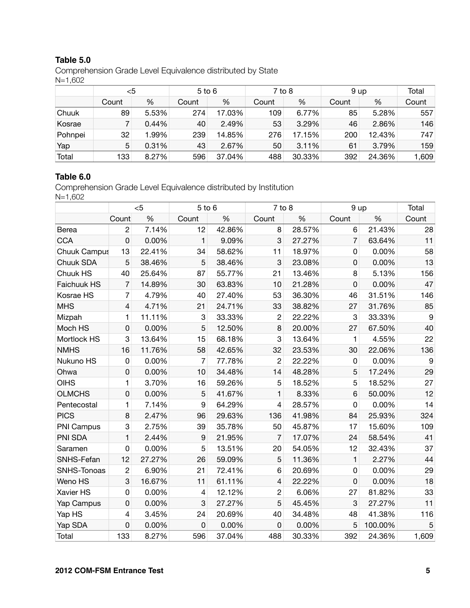#### **Table 5.0**

Comprehension Grade Level Equivalence distributed by State N=1,602

|         | <5    |       | $5$ to $6$ |        | $7$ to 8 |        | 9 up  |        | Total |
|---------|-------|-------|------------|--------|----------|--------|-------|--------|-------|
|         | Count | %     | Count      | %      | Count    | %      | Count | %      | Count |
| Chuuk   | 89    | 5.53% | 274        | 17.03% | 109      | 6.77%  | 85    | 5.28%  | 557   |
| Kosrae  |       | 0.44% | 40         | 2.49%  | 53       | 3.29%  | 46    | 2.86%  | 146   |
| Pohnpei | 32    | 1.99% | 239        | 14.85% | 276      | 17.15% | 200   | 12.43% | 747   |
| Yap     | 5     | 0.31% | 43         | 2.67%  | 50       | 3.11%  | 61    | 3.79%  | 159   |
| Total   | 133   | 8.27% | 596        | 37.04% | 488      | 30.33% | 392   | 24.36% | 1,609 |

## **Table 6.0**

Comprehension Grade Level Equivalence distributed by Institution  $N=1,602$ 

|                     |                         | $<$ 5  | $5$ to $6$       |        | $7$ to $8$              |        | 9 up           |         | Total            |
|---------------------|-------------------------|--------|------------------|--------|-------------------------|--------|----------------|---------|------------------|
|                     | Count                   | $\%$   | Count            | $\%$   | Count                   | $\%$   | Count          | %       | Count            |
| Berea               | $\overline{c}$          | 7.14%  | 12               | 42.86% | 8                       | 28.57% | 6              | 21.43%  | 28               |
| <b>CCA</b>          | $\mathsf{O}\xspace$     | 0.00%  | $\mathbf{1}$     | 9.09%  | 3                       | 27.27% | $\overline{7}$ | 63.64%  | 11               |
| <b>Chuuk Campus</b> | 13                      | 22.41% | 34               | 58.62% | 11                      | 18.97% | 0              | 0.00%   | 58               |
| Chuuk SDA           | 5                       | 38.46% | 5                | 38.46% | 3                       | 23.08% | $\mathbf 0$    | 0.00%   | 13               |
| Chuuk HS            | 40                      | 25.64% | 87               | 55.77% | 21                      | 13.46% | 8              | 5.13%   | 156              |
| Faichuuk HS         | $\overline{7}$          | 14.89% | 30               | 63.83% | 10                      | 21.28% | $\mathbf 0$    | 0.00%   | 47               |
| Kosrae HS           | $\overline{7}$          | 4.79%  | 40               | 27.40% | 53                      | 36.30% | 46             | 31.51%  | 146              |
| <b>MHS</b>          | $\overline{\mathbf{4}}$ | 4.71%  | 21               | 24.71% | 33                      | 38.82% | 27             | 31.76%  | 85               |
| Mizpah              | 1                       | 11.11% | 3                | 33.33% | $\overline{c}$          | 22.22% | 3              | 33.33%  | $\boldsymbol{9}$ |
| Moch HS             | $\mathsf 0$             | 0.00%  | 5                | 12.50% | 8                       | 20.00% | 27             | 67.50%  | 40               |
| Mortlock HS         | 3                       | 13.64% | 15               | 68.18% | 3                       | 13.64% | 1              | 4.55%   | 22               |
| <b>NMHS</b>         | 16                      | 11.76% | 58               | 42.65% | 32                      | 23.53% | 30             | 22.06%  | 136              |
| Nukuno HS           | 0                       | 0.00%  | $\overline{7}$   | 77.78% | $\overline{2}$          | 22.22% | $\mathbf 0$    | 0.00%   | 9                |
| Ohwa                | 0                       | 0.00%  | 10               | 34.48% | 14                      | 48.28% | 5              | 17.24%  | 29               |
| <b>OIHS</b>         | 1                       | 3.70%  | 16               | 59.26% | 5                       | 18.52% | 5              | 18.52%  | 27               |
| <b>OLMCHS</b>       | $\mathsf 0$             | 0.00%  | 5                | 41.67% | 1                       | 8.33%  | $\,6$          | 50.00%  | 12               |
| Pentecostal         | $\mathbf{1}$            | 7.14%  | 9                | 64.29% | $\overline{\mathbf{4}}$ | 28.57% | $\mathbf 0$    | 0.00%   | 14               |
| <b>PICS</b>         | 8                       | 2.47%  | 96               | 29.63% | 136                     | 41.98% | 84             | 25.93%  | 324              |
| PNI Campus          | 3                       | 2.75%  | 39               | 35.78% | 50                      | 45.87% | 17             | 15.60%  | 109              |
| PNI SDA             | 1                       | 2.44%  | $\boldsymbol{9}$ | 21.95% | 7                       | 17.07% | 24             | 58.54%  | 41               |
| Saramen             | $\mathsf 0$             | 0.00%  | 5                | 13.51% | 20                      | 54.05% | 12             | 32.43%  | 37               |
| SNHS-Fefan          | 12                      | 27.27% | 26               | 59.09% | 5                       | 11.36% | $\mathbf{1}$   | 2.27%   | 44               |
| SNHS-Tonoas         | $\overline{c}$          | 6.90%  | 21               | 72.41% | 6                       | 20.69% | $\mathbf 0$    | 0.00%   | 29               |
| Weno HS             | 3                       | 16.67% | 11               | 61.11% | $\overline{4}$          | 22.22% | $\mathbf 0$    | 0.00%   | 18               |
| Xavier HS           | $\mathsf 0$             | 0.00%  | $\overline{4}$   | 12.12% | $\overline{c}$          | 6.06%  | 27             | 81.82%  | 33               |
| Yap Campus          | $\mathsf 0$             | 0.00%  | 3                | 27.27% | 5                       | 45.45% | 3              | 27.27%  | 11               |
| Yap HS              | $\overline{\mathbf{4}}$ | 3.45%  | 24               | 20.69% | 40                      | 34.48% | 48             | 41.38%  | 116              |
| Yap SDA             | $\mathsf 0$             | 0.00%  | 0                | 0.00%  | 0                       | 0.00%  | 5              | 100.00% | 5                |
| Total               | 133                     | 8.27%  | 596              | 37.04% | 488                     | 30.33% | 392            | 24.36%  | 1,609            |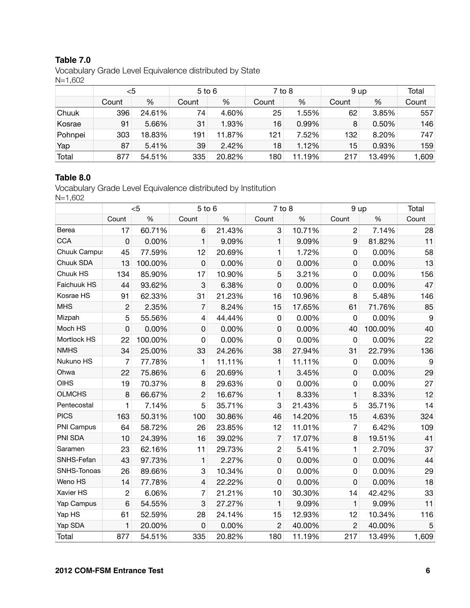#### **Table 7.0**

Vocabulary Grade Level Equivalence distributed by State N=1,602

|         | <5    |        | $5$ to $6$ |        | $7$ to 8 |        |       |        | 9 up  |  | Total |
|---------|-------|--------|------------|--------|----------|--------|-------|--------|-------|--|-------|
|         | Count | %      | Count      | %      | Count    | %      | Count | %      | Count |  |       |
| Chuuk   | 396   | 24.61% | 74         | 4.60%  | 25       | 1.55%  | 62    | 3.85%  | 557   |  |       |
| Kosrae  | 91    | 5.66%  | 31         | 1.93%  | 16       | 0.99%  | 8     | 0.50%  | 146   |  |       |
| Pohnpei | 303   | 18.83% | 191        | 11.87% | 121      | 7.52%  | 132   | 8.20%  | 747   |  |       |
| Yap     | 87    | 5.41%  | 39         | 2.42%  | 18       | 1.12%  | 15    | 0.93%  | 159   |  |       |
| Total   | 877   | 54.51% | 335        | 20.82% | 180      | 11.19% | 217   | 13.49% | 1,609 |  |       |

#### **Table 8.0**

Vocabulary Grade Level Equivalence distributed by Institution N=1,602

|               |                | $<$ 5   | 5 to 6                   |        | $7$ to $8$     |        | 9 up           |         | Total |
|---------------|----------------|---------|--------------------------|--------|----------------|--------|----------------|---------|-------|
|               | Count          | %       | Count                    | %      | Count          | $\%$   | Count          | %       | Count |
| Berea         | 17             | 60.71%  | 6                        | 21.43% | 3              | 10.71% | $\overline{2}$ | 7.14%   | 28    |
| <b>CCA</b>    | $\mathsf 0$    | 0.00%   | 1                        | 9.09%  | $\mathbf{1}$   | 9.09%  | 9              | 81.82%  | 11    |
| Chuuk Campu:  | 45             | 77.59%  | 12                       | 20.69% | 1              | 1.72%  | 0              | 0.00%   | 58    |
| Chuuk SDA     | 13             | 100.00% | 0                        | 0.00%  | 0              | 0.00%  | 0              | 0.00%   | 13    |
| Chuuk HS      | 134            | 85.90%  | 17                       | 10.90% | 5              | 3.21%  | 0              | 0.00%   | 156   |
| Faichuuk HS   | 44             | 93.62%  | 3                        | 6.38%  | 0              | 0.00%  | 0              | 0.00%   | 47    |
| Kosrae HS     | 91             | 62.33%  | 31                       | 21.23% | 16             | 10.96% | 8              | 5.48%   | 146   |
| <b>MHS</b>    | $\overline{c}$ | 2.35%   | $\overline{7}$           | 8.24%  | 15             | 17.65% | 61             | 71.76%  | 85    |
| Mizpah        | 5              | 55.56%  | 4                        | 44.44% | 0              | 0.00%  | 0              | 0.00%   | 9     |
| Moch HS       | 0              | 0.00%   | 0                        | 0.00%  | $\mathbf 0$    | 0.00%  | 40             | 100.00% | 40    |
| Mortlock HS   | 22             | 100.00% | 0                        | 0.00%  | 0              | 0.00%  | 0              | 0.00%   | 22    |
| <b>NMHS</b>   | 34             | 25.00%  | 33                       | 24.26% | 38             | 27.94% | 31             | 22.79%  | 136   |
| Nukuno HS     | 7              | 77.78%  | 1                        | 11.11% | 1              | 11.11% | 0              | 0.00%   | 9     |
| Ohwa          | 22             | 75.86%  | 6                        | 20.69% | 1              | 3.45%  | 0              | 0.00%   | 29    |
| <b>OIHS</b>   | 19             | 70.37%  | 8                        | 29.63% | 0              | 0.00%  | 0              | 0.00%   | 27    |
| <b>OLMCHS</b> | 8              | 66.67%  | $\overline{c}$           | 16.67% | 1              | 8.33%  | 1              | 8.33%   | 12    |
| Pentecostal   | 1              | 7.14%   | 5                        | 35.71% | 3              | 21.43% | 5              | 35.71%  | 14    |
| <b>PICS</b>   | 163            | 50.31%  | 100                      | 30.86% | 46             | 14.20% | 15             | 4.63%   | 324   |
| PNI Campus    | 64             | 58.72%  | 26                       | 23.85% | 12             | 11.01% | $\overline{7}$ | 6.42%   | 109   |
| PNI SDA       | 10             | 24.39%  | 16                       | 39.02% | $\overline{7}$ | 17.07% | 8              | 19.51%  | 41    |
| Saramen       | 23             | 62.16%  | 11                       | 29.73% | $\overline{c}$ | 5.41%  | $\mathbf{1}$   | 2.70%   | 37    |
| SNHS-Fefan    | 43             | 97.73%  | 1                        | 2.27%  | 0              | 0.00%  | 0              | 0.00%   | 44    |
| SNHS-Tonoas   | 26             | 89.66%  | 3                        | 10.34% | 0              | 0.00%  | 0              | 0.00%   | 29    |
| Weno HS       | 14             | 77.78%  | $\overline{\mathcal{L}}$ | 22.22% | 0              | 0.00%  | 0              | 0.00%   | 18    |
| Xavier HS     | $\overline{c}$ | 6.06%   | $\overline{7}$           | 21.21% | 10             | 30.30% | 14             | 42.42%  | 33    |
| Yap Campus    | 6              | 54.55%  | 3                        | 27.27% | $\mathbf{1}$   | 9.09%  | $\mathbf{1}$   | 9.09%   | 11    |
| Yap HS        | 61             | 52.59%  | 28                       | 24.14% | 15             | 12.93% | 12             | 10.34%  | 116   |
| Yap SDA       | $\mathbf{1}$   | 20.00%  | 0                        | 0.00%  | $\overline{2}$ | 40.00% | $\overline{2}$ | 40.00%  | 5     |
| Total         | 877            | 54.51%  | 335                      | 20.82% | 180            | 11.19% | 217            | 13.49%  | 1,609 |